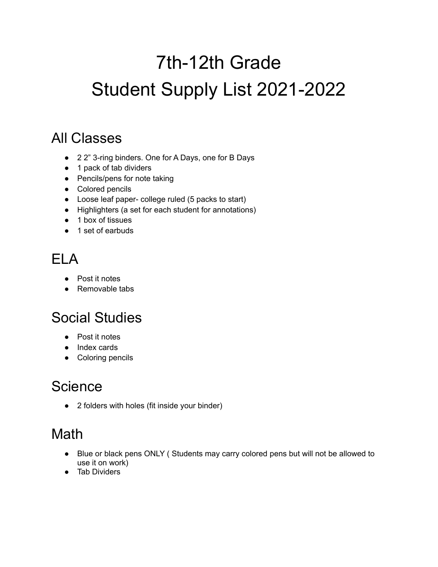# 7th-12th Grade Student Supply List 2021-2022

#### All Classes

- 2 2" 3-ring binders. One for A Days, one for B Days
- 1 pack of tab dividers
- Pencils/pens for note taking
- Colored pencils
- Loose leaf paper- college ruled (5 packs to start)
- Highlighters (a set for each student for annotations)
- 1 box of tissues
- 1 set of earbuds

#### ELA

- Post it notes
- Removable tabs

## Social Studies

- Post it notes
- Index cards
- Coloring pencils

#### **Science**

● 2 folders with holes (fit inside your binder)

## Math

- Blue or black pens ONLY ( Students may carry colored pens but will not be allowed to use it on work)
- Tab Dividers